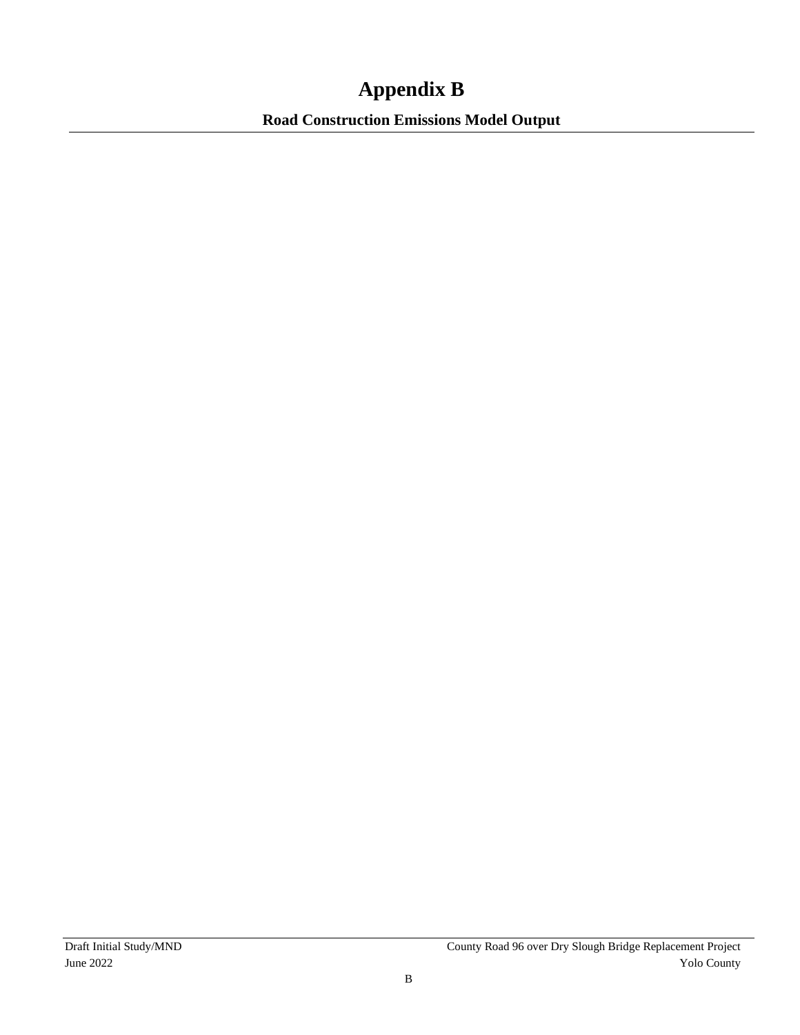## **Appendix B**

**Road Construction Emissions Model Output**